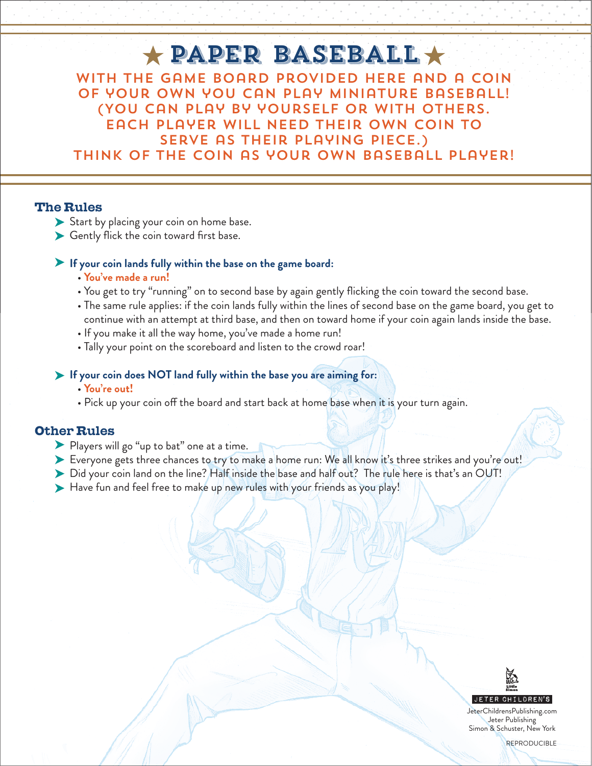# $\star$  PAPER BASEBALL  $\star$ With the game board provided here and a coin of your own you can play miniature baseball! (You can play by yourself or with others.

serve as their playing piece.) Think of the coin as your own baseball player!

Each player will need their own coin to

### The Rules

- Start by placing your coin on home base.
- Gently flick the coin toward first base.

#### **If your coin lands fully within the base on the game board:**

- **You've made a run!**
- You get to try "running" on to second base by again gently flicking the coin toward the second base.
- The same rule applies: if the coin lands fully within the lines of second base on the game board, you get to continue with an attempt at third base, and then on toward home if your coin again lands inside the base.
- If you make it all the way home, you've made a home run!
- Tally your point on the scoreboard and listen to the crowd roar!

#### **If your coin does NOT land fully within the base you are aiming for:**

#### • **You're out!**

• Pick up your coin off the board and start back at home base when it is your turn again.

## Other Rules

- Players will go "up to bat" one at a time.
- Everyone gets three chances to try to make a home run: We all know it's three strikes and you're out!
- Did your coin land on the line? Half inside the base and half out? The rule here is that's an OUT!
- Have fun and feel free to make up new rules with your friends as you play!



JeterChildrensPublishing.com Jeter Publishing Simon & Schuster, New York

**REPRODUCIBLE**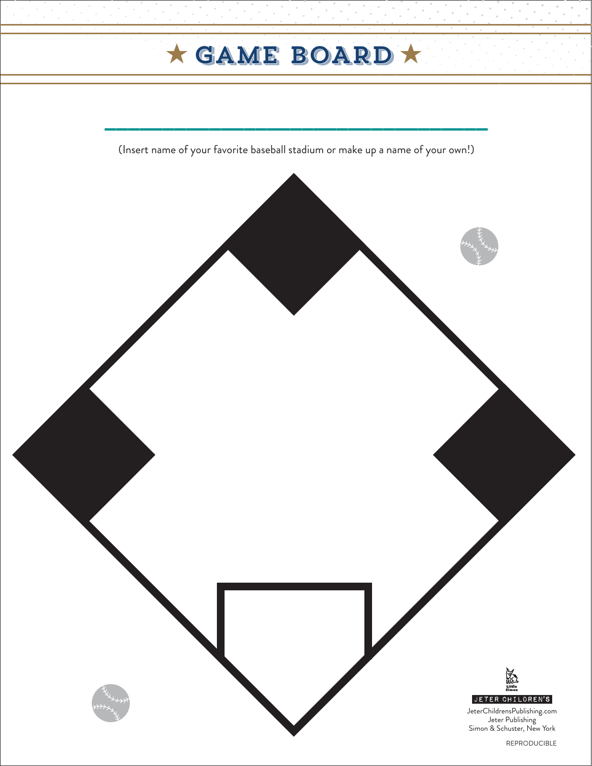# $\star$  GAME BOARD  $\star$

(Insert name of your favorite baseball stadium or make up a name of your own!)

 $\overline{\phantom{a}}$  , where  $\overline{\phantom{a}}$  , where  $\overline{\phantom{a}}$  , where  $\overline{\phantom{a}}$  , we have  $\overline{\phantom{a}}$  , we have  $\overline{\phantom{a}}$